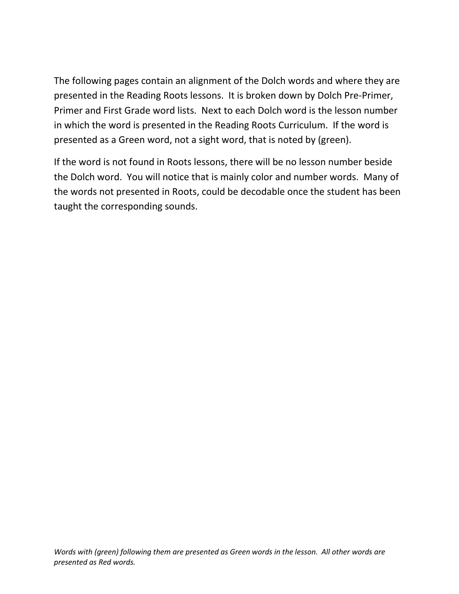The following pages contain an alignment of the Dolch words and where they are presented in the Reading Roots lessons. It is broken down by Dolch Pre-Primer, Primer and First Grade word lists. Next to each Dolch word is the lesson number in which the word is presented in the Reading Roots Curriculum. If the word is presented as a Green word, not a sight word, that is noted by (green).

If the word is not found in Roots lessons, there will be no lesson number beside the Dolch word. You will notice that is mainly color and number words. Many of the words not presented in Roots, could be decodable once the student has been taught the corresponding sounds.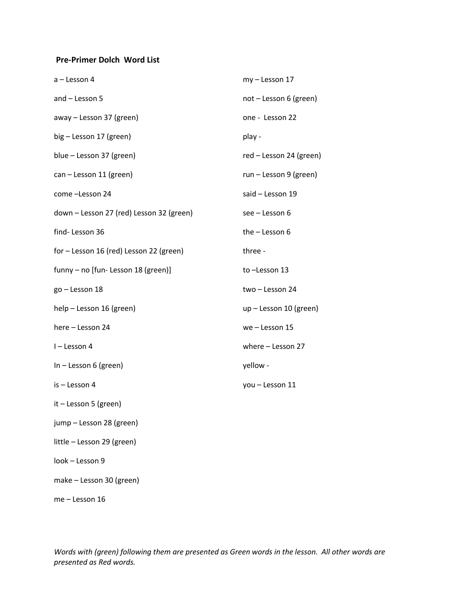## **Pre-Primer Dolch Word List**

| a - Lesson 4                             | my - Lesson 17          |
|------------------------------------------|-------------------------|
| and - Lesson 5                           | not - Lesson 6 (green)  |
| away - Lesson 37 (green)                 | one - Lesson 22         |
| big - Lesson 17 (green)                  | play -                  |
| blue - Lesson 37 (green)                 | red - Lesson 24 (green) |
| can - Lesson 11 (green)                  | run - Lesson 9 (green)  |
| come -Lesson 24                          | said - Lesson 19        |
| down - Lesson 27 (red) Lesson 32 (green) | see - Lesson 6          |
| find-Lesson 36                           | the $-$ Lesson 6        |
| for - Lesson 16 (red) Lesson 22 (green)  | three -                 |
| funny - no [fun- Lesson 18 (green)]      | to-Lesson 13            |
| go - Lesson 18                           | two - Lesson 24         |
| help - Lesson 16 (green)                 | up - Lesson 10 (green)  |
| here - Lesson 24                         | we - Lesson 15          |
| I-Lesson 4                               | where - Lesson 27       |
| $In - Lesson 6 (green)$                  | yellow -                |
| is - Lesson 4                            | you - Lesson 11         |
| $it$ – Lesson 5 (green)                  |                         |
| jump - Lesson 28 (green)                 |                         |
| little - Lesson 29 (green)               |                         |
| look - Lesson 9                          |                         |
| make - Lesson 30 (green)                 |                         |

me – Lesson 16

*Words with (green) following them are presented as Green words in the lesson. All other words are presented as Red words.*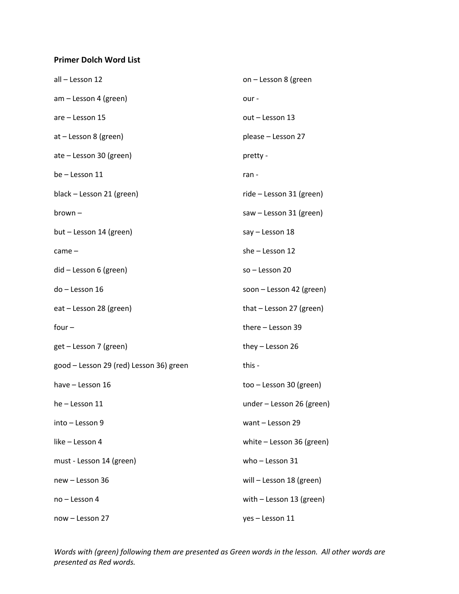## **Primer Dolch Word List**

| all - Lesson 12                         | on - Lesson 8 (green        |
|-----------------------------------------|-----------------------------|
| am - Lesson 4 (green)                   | our-                        |
| are - Lesson 15                         | out - Lesson 13             |
| at - Lesson 8 (green)                   | please - Lesson 27          |
| ate - Lesson 30 (green)                 | pretty -                    |
| be - Lesson 11                          | ran -                       |
| black - Lesson 21 (green)               | ride - Lesson 31 (green)    |
| $brown -$                               | saw - Lesson 31 (green)     |
| but - Lesson 14 (green)                 | say - Lesson 18             |
| came –                                  | she - Lesson 12             |
| did - Lesson 6 (green)                  | so - Lesson 20              |
| do - Lesson 16                          | soon - Lesson 42 (green)    |
| eat - Lesson 28 (green)                 | that - Lesson 27 (green)    |
| $four -$                                | there - Lesson 39           |
| get - Lesson 7 (green)                  | they - Lesson 26            |
| good - Lesson 29 (red) Lesson 36) green | this -                      |
| have - Lesson 16                        | too - Lesson 30 (green)     |
| he - Lesson 11                          | under - Lesson 26 (green)   |
| into - Lesson 9                         | want - Lesson 29            |
| like – Lesson 4                         | white $-$ Lesson 36 (green) |
| must - Lesson 14 (green)                | who $-$ Lesson 31           |
| new - Lesson 36                         | will - Lesson 18 (green)    |
| no – Lesson 4                           | with - Lesson 13 (green)    |
| now - Lesson 27                         | yes - Lesson 11             |

*Words with (green) following them are presented as Green words in the lesson. All other words are presented as Red words.*